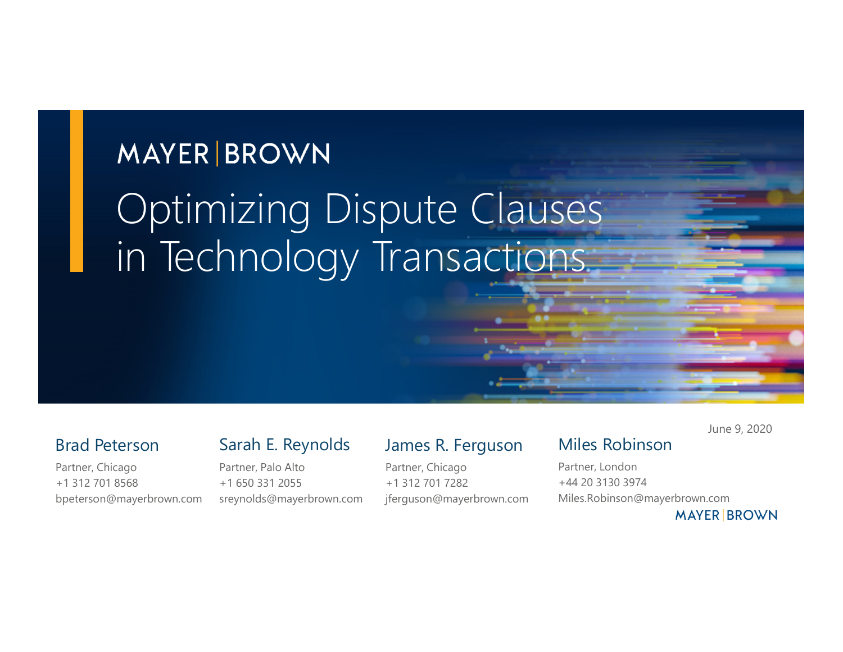# **MAYER BROWN** Optimizing Dispute Clauses in Technology Transactions

#### Brad Peterson

bpeterson@mayerbrown.com

Partner, Chicago +1 312 701 8568 Sarah E. Reynolds

Partner, Palo Alto +1 650 331 2055 sreynolds@mayerbrown.com

#### James R. Ferguson

Partner, Chicago +1 312 701 7282 jferguson@mayerbrown.com June 9, 2020

#### Miles Robinson

Partner, London +44 20 3130 3974 Miles.Robinson@mayerbrown.com

**MAYER BROWN**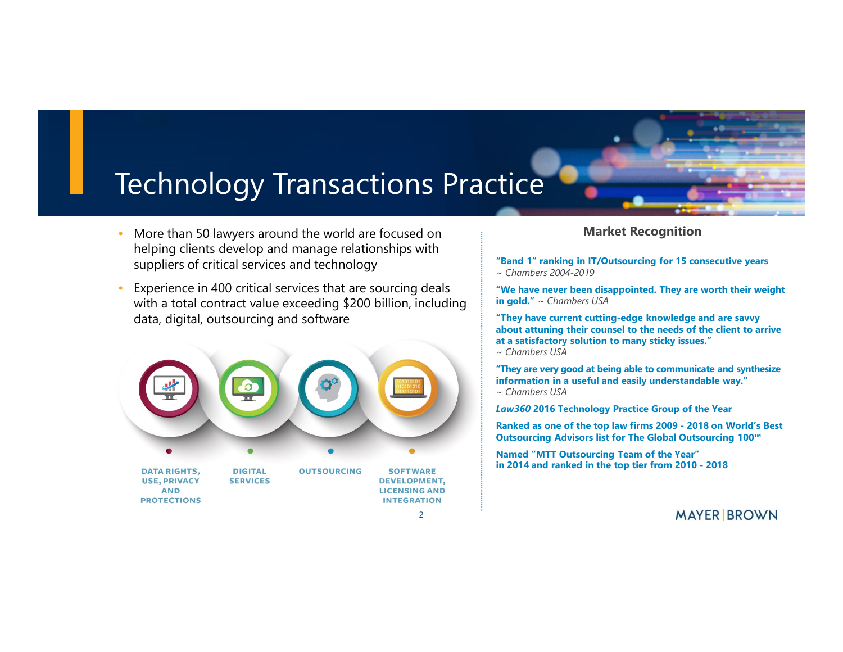#### Technology Transactions Practice

- More than 50 lawyers around the world are focused on helping clients develop and manage relationships with suppliers of critical services and technology
- Experience in 400 critical services that are sourcing deals with a total contract value exceeding \$200 billion, including data, digital, outsourcing and software



#### **Market Recognition**

**"Band 1" ranking in IT/Outsourcing for 15 consecutive years** ~ *Chambers 2004-2019*

**"We have never been disappointed. They are worth their weight in gold."** ~ *Chambers USA*

**"They have current cutting-edge knowledge and are savvy about attuning their counsel to the needs of the client to arrive at a satisfactory solution to many sticky issues."**

*~ Chambers USA*

**"They are very good at being able to communicate and synthesize information in a useful and easily understandable way."** 

~ *Chambers USA*

*Law360* **2016 Technology Practice Group of the Year** 

**Ranked as one of the top law firms 2009 - 2018 on World's Best Outsourcing Advisors list for The Global Outsourcing 100™**

**Named "MTT Outsourcing Team of the Year" in 2014 and ranked in the top tier from 2010 - 2018**

**MAYER BROWN**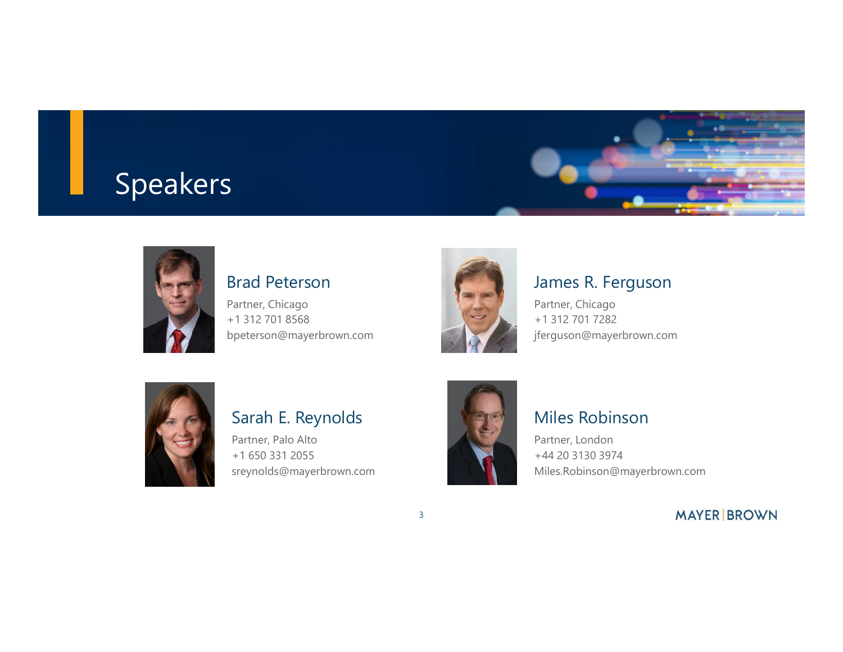### Speakers





#### Brad Peterson

Partner, Chicago +1 312 701 8568 bpeterson@mayerbrown.com



#### James R. Ferguson

Partner, Chicago +1 312 701 7282 jferguson@mayerbrown.com



#### Sarah E. Reynolds

Partner, Palo Alto +1 650 331 2055 sreynolds@mayerbrown.com



3

#### Miles Robinson

Partner, London +44 20 3130 3974 Miles.Robinson@mayerbrown.com

**MAYER BROWN**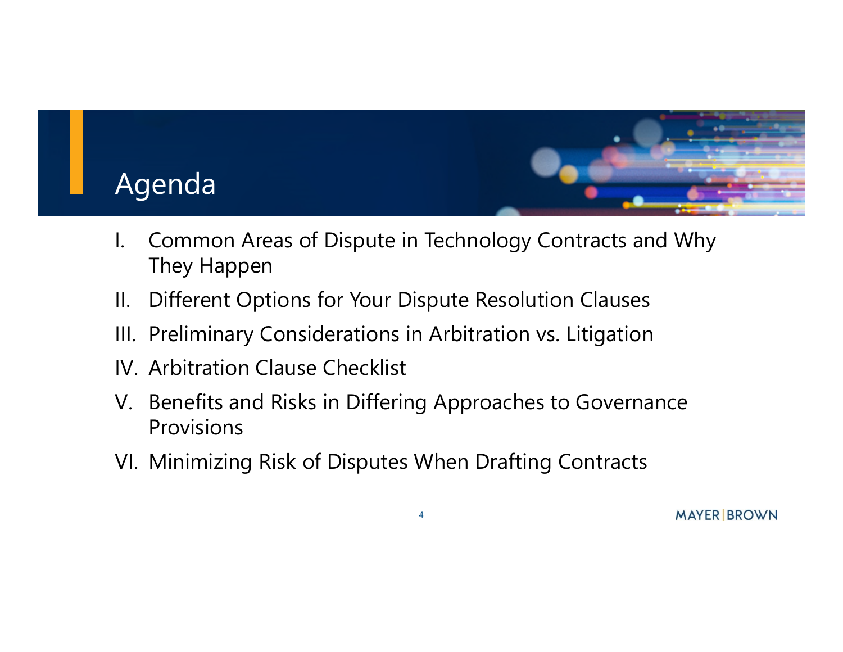

- I. Common Areas of Dispute in Technology Contracts and Why They Happen
- II. Different Options for Your Dispute Resolution Clauses
- III. Preliminary Considerations in Arbitration vs. Litigation
- IV. Arbitration Clause Checklist
- V. Benefits and Risks in Differing Approaches to Governance Provisions
- VI. Minimizing Risk of Disputes When Drafting Contracts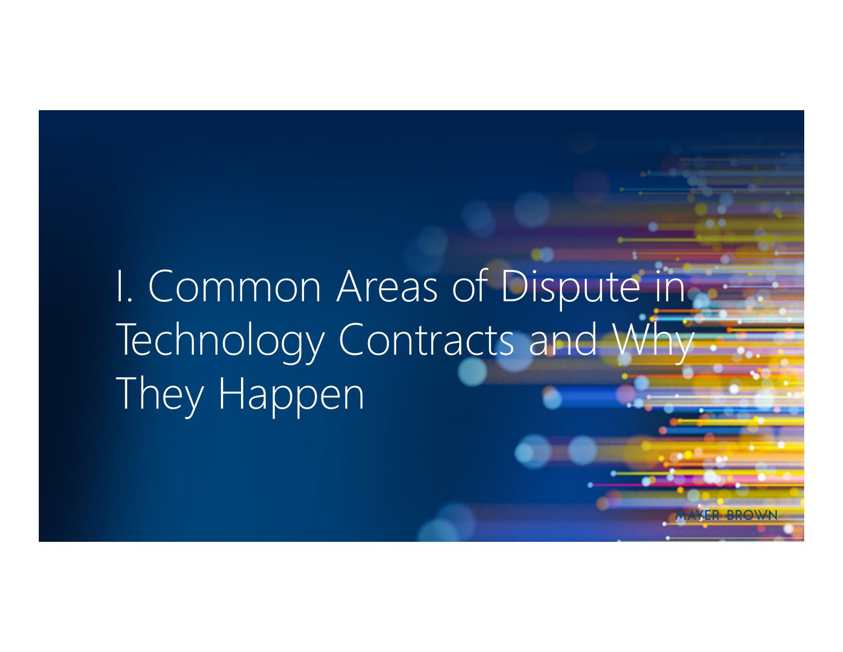# I. Common Areas of Dispute in Technology Contracts and Wh They Happen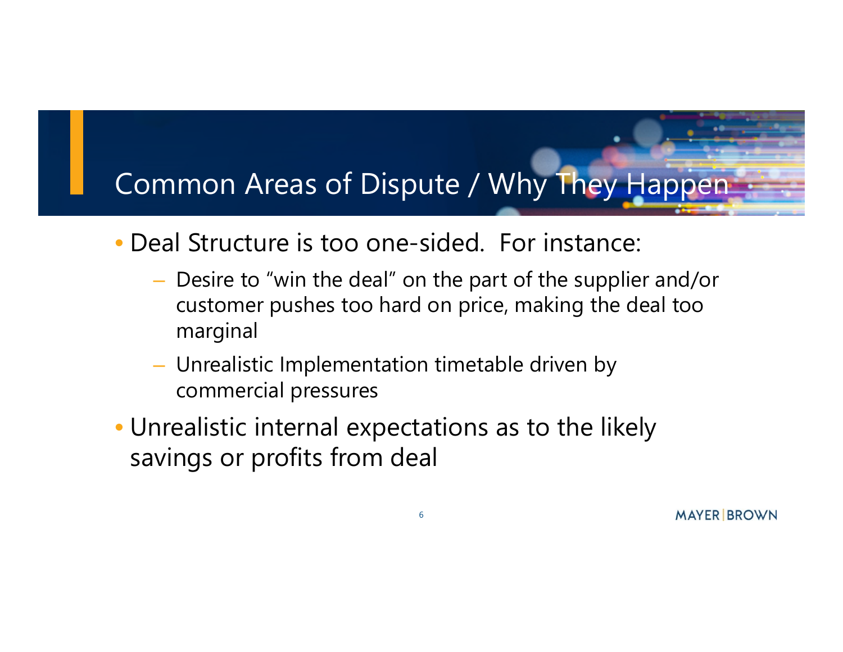- Deal Structure is too one-sided. For instance:
	- Desire to "win the deal" on the part of the supplier and/or customer pushes too hard on price, making the deal too marginal
	- Unrealistic Implementation timetable driven by commercial pressures
- Unrealistic internal expectations as to the likely savings or profits from deal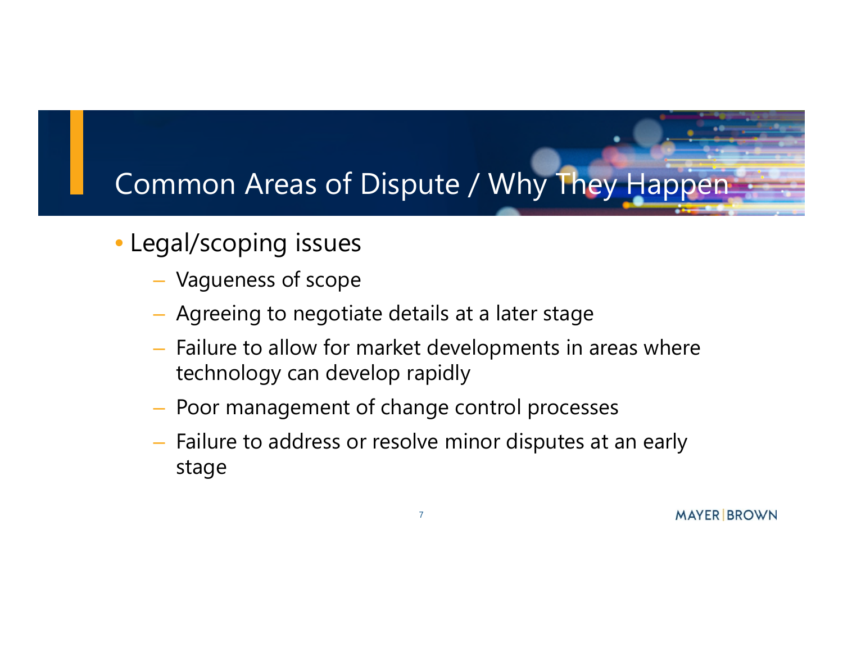- Legal/scoping issues
	- Vagueness of scope
	- Agreeing to negotiate details at a later stage
	- Failure to allow for market developments in areas where technology can develop rapidly
	- Poor management of change control processes
	- Failure to address or resolve minor disputes at an early stage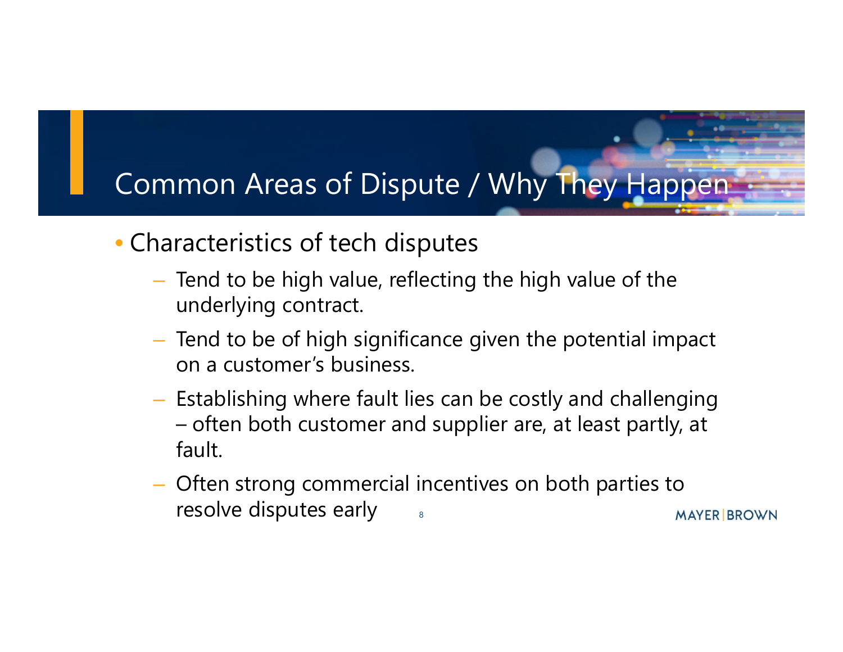- Characteristics of tech disputes
	- Tend to be high value, reflecting the high value of the underlying contract.
	- Tend to be of high significance given the potential impact on a customer's business.
	- Establishing where fault lies can be costly and challenging – often both customer and supplier are, at least partly, at fault.
	- Often strong commercial incentives on both parties to resolve disputes early8 **MAYER BROWN**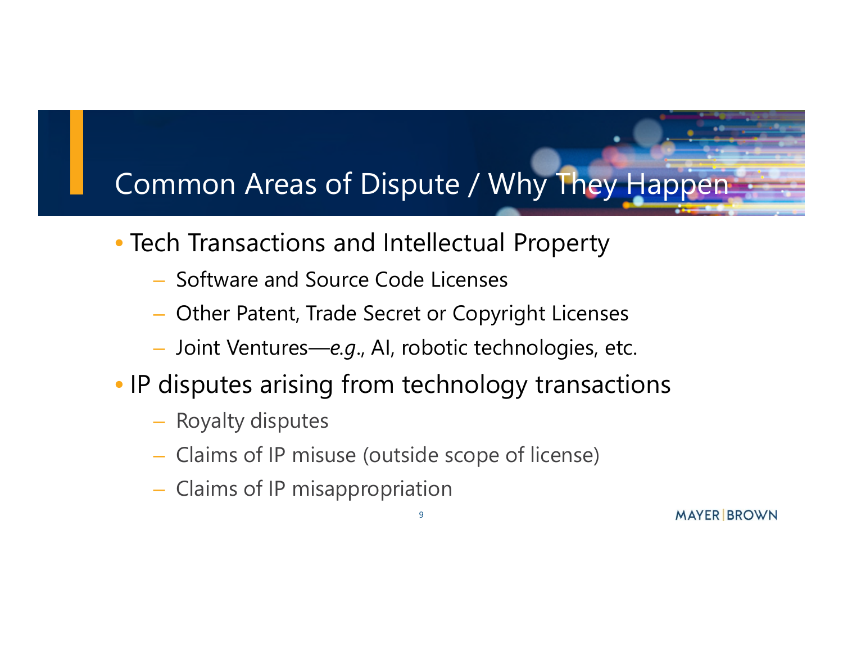- Tech Transactions and Intellectual Property
	- Software and Source Code Licenses
	- Other Patent, Trade Secret or Copyright Licenses
	- Joint Ventures—*e.g*., AI, robotic technologies, etc.
- IP disputes arising from technology transactions

- Royalty disputes
- Claims of IP misuse (outside scope of license)
- Claims of IP misappropriation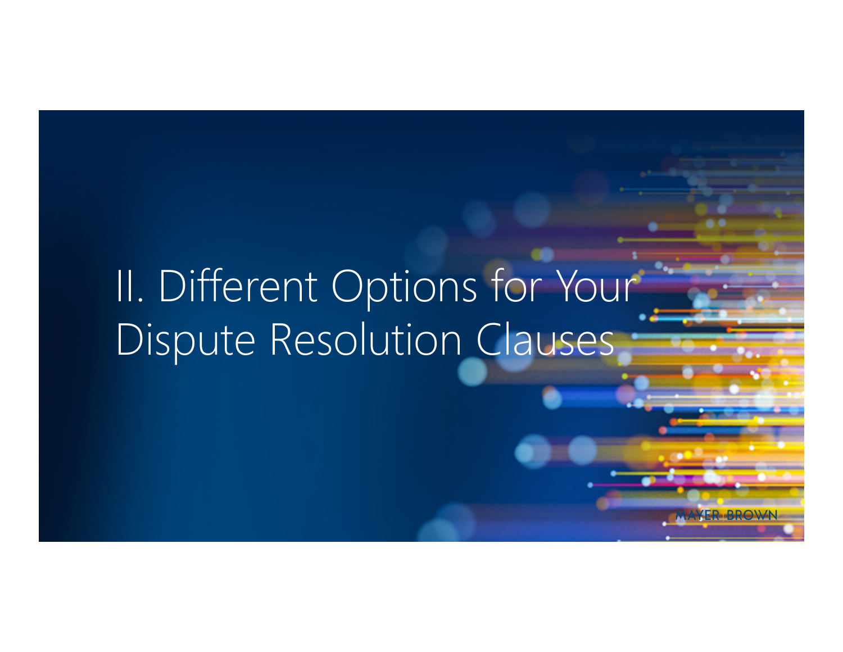# II. Different Options for Your Dispute Resolution Clauses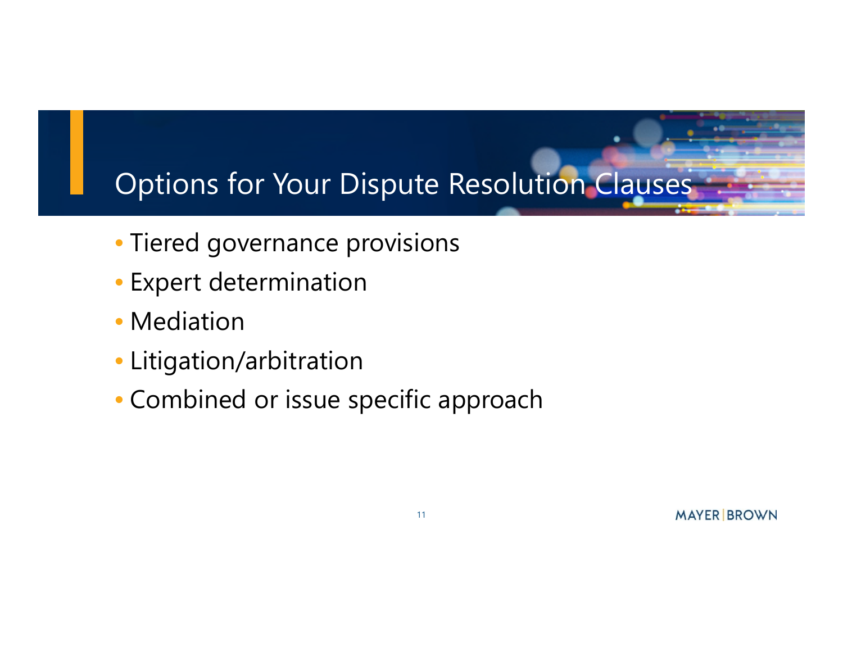### Options for Your Dispute Resolution Clauses

- Tiered governance provisions
- Expert determination
- Mediation
- Litigation/arbitration
- Combined or issue specific approach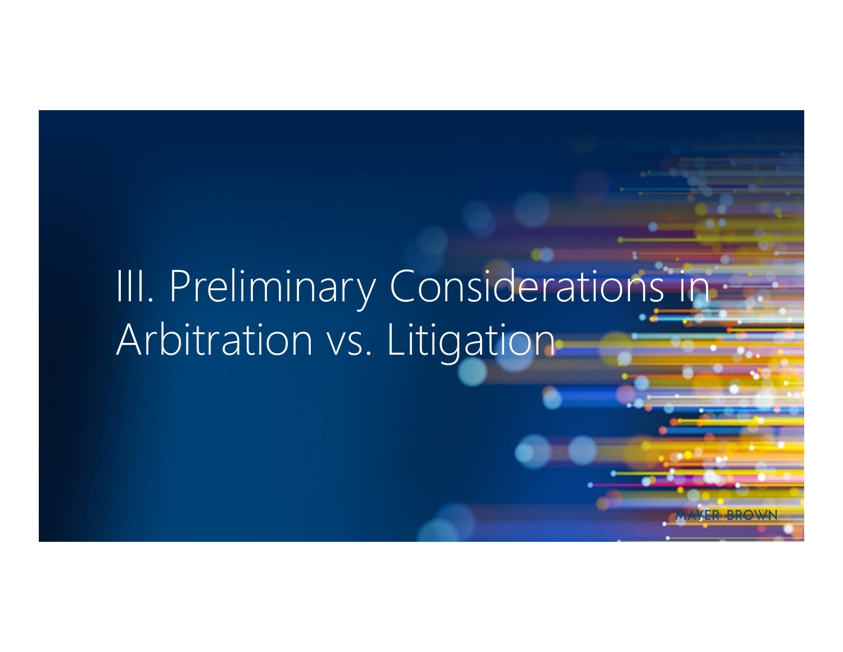# III. Preliminary Considerations in Arbitration vs. Litigation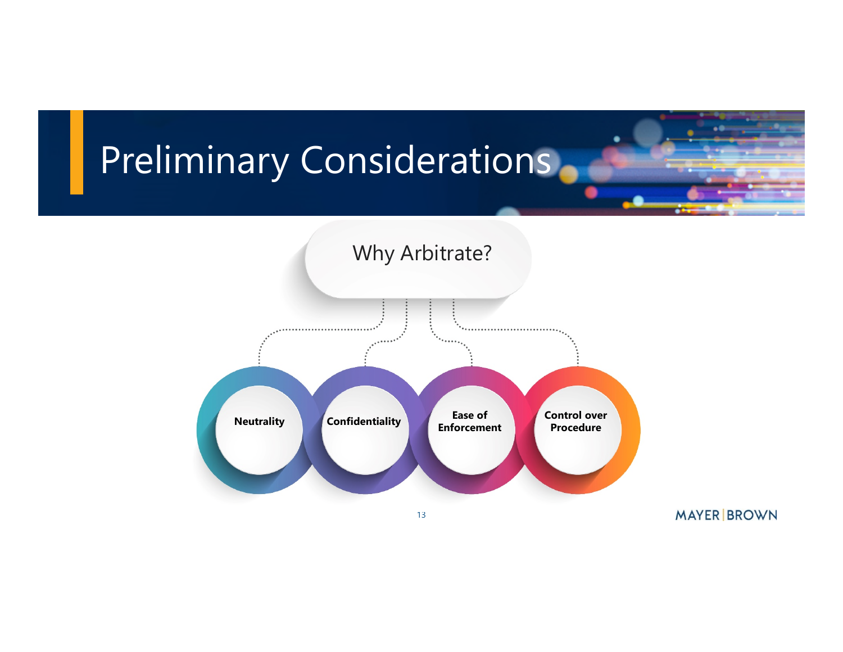# Preliminary Considerations.



**MAYER BROWN**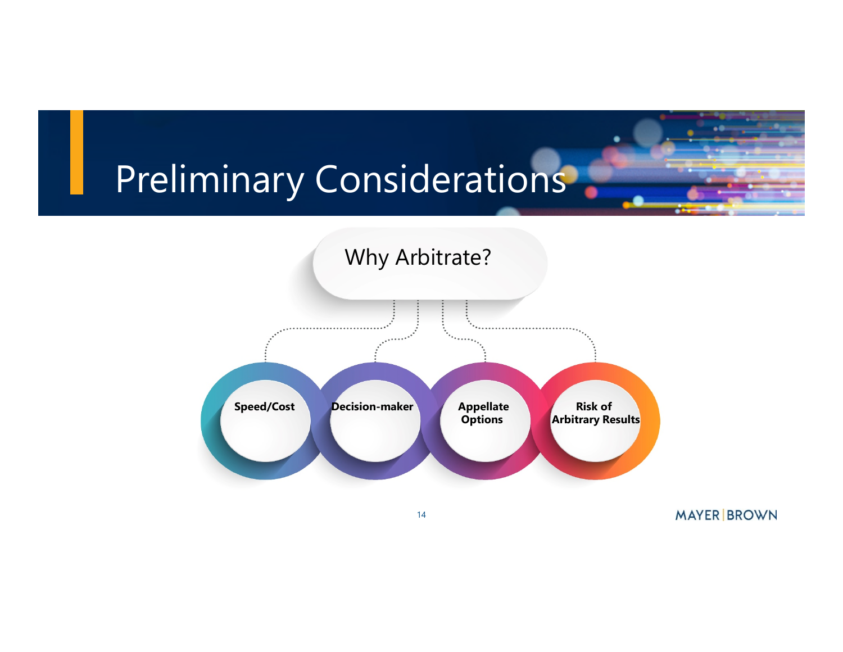### Preliminary Considerations.



**MAYER BROWN**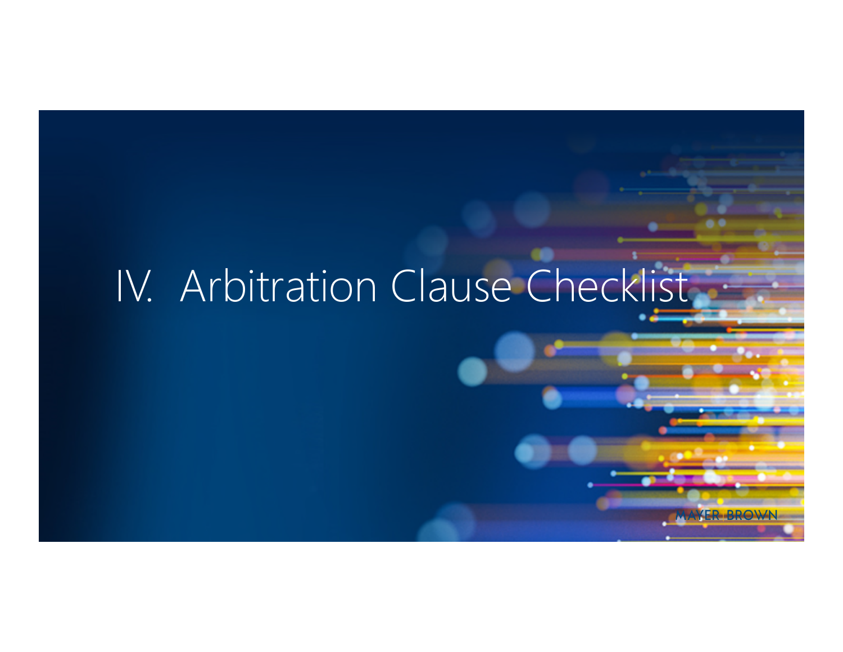# IV. Arbitration Clause Checklist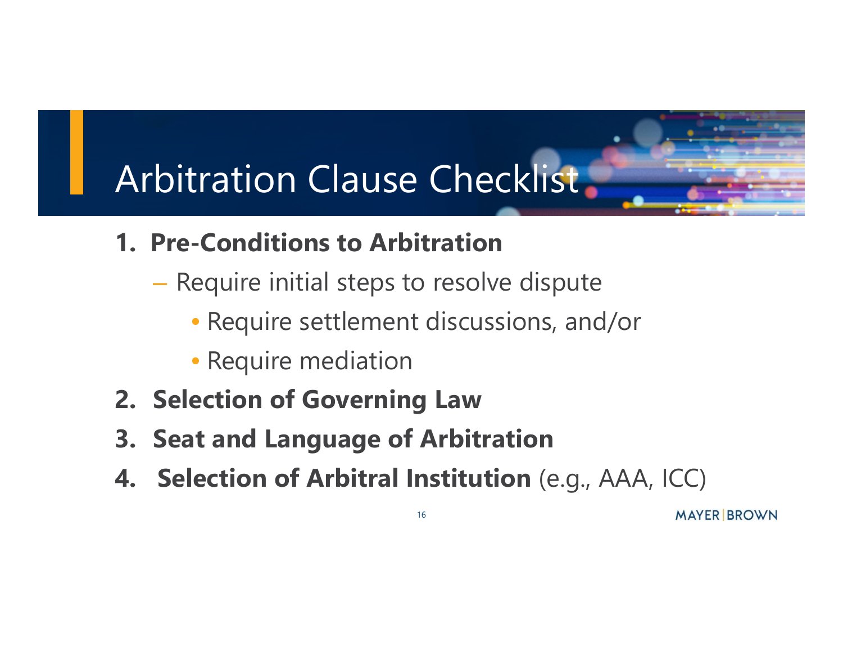# Arbitration Clause Checklist

- **1. Pre-Conditions to Arbitration**
	- Require initial steps to resolve dispute
		- Require settlement discussions, and/or
		- Require mediation
- **2. Selection of Governing Law**
- **3. Seat and Language of Arbitration**
- **4. Selection of Arbitral Institution** (e.g., AAA, ICC)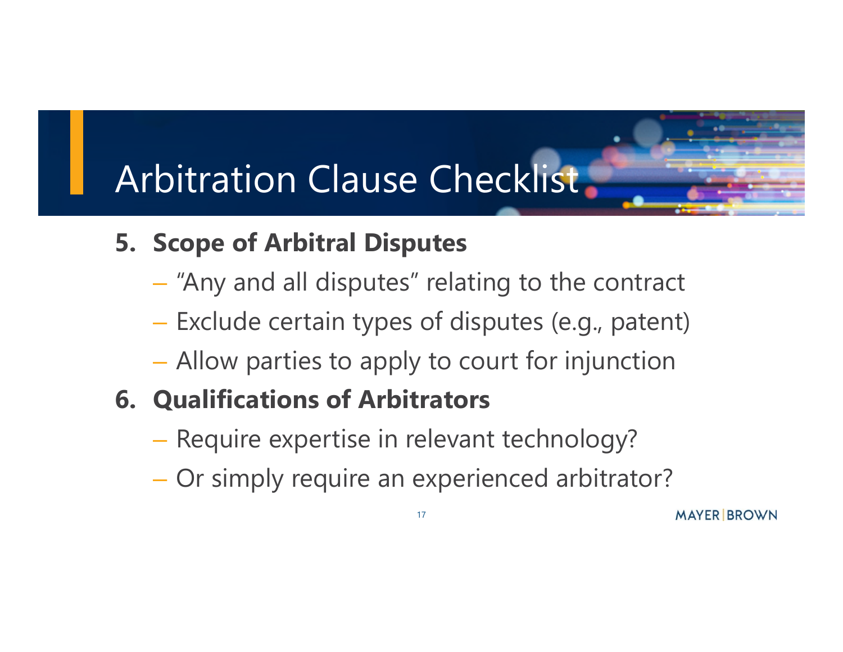# Arbitration Clause Checklist

#### **5. Scope of Arbitral Disputes**

- "Any and all disputes" relating to the contract
- Exclude certain types of disputes (e.g., patent)
- Allow parties to apply to court for injunction
- **6. Qualifications of Arbitrators**
	- Require expertise in relevant technology?
	- Or simply require an experienced arbitrator?

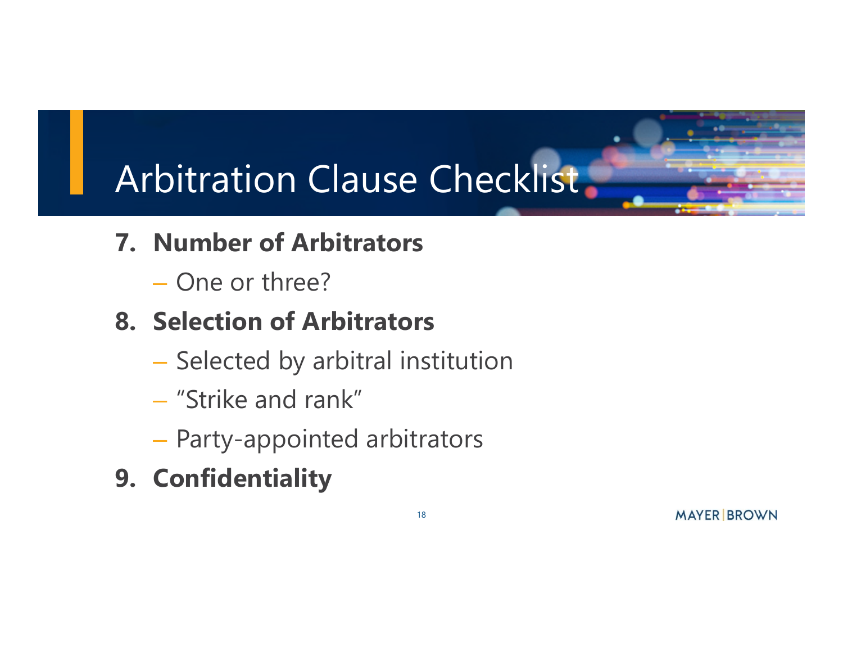# Arbitration Clause Checklist.

- **7. Number of Arbitrators**
	- One or three?

#### **8. Selection of Arbitrators**

- Selected by arbitral institution
- "Strike and rank"
- Party-appointed arbitrators
- **9. Confidentiality**

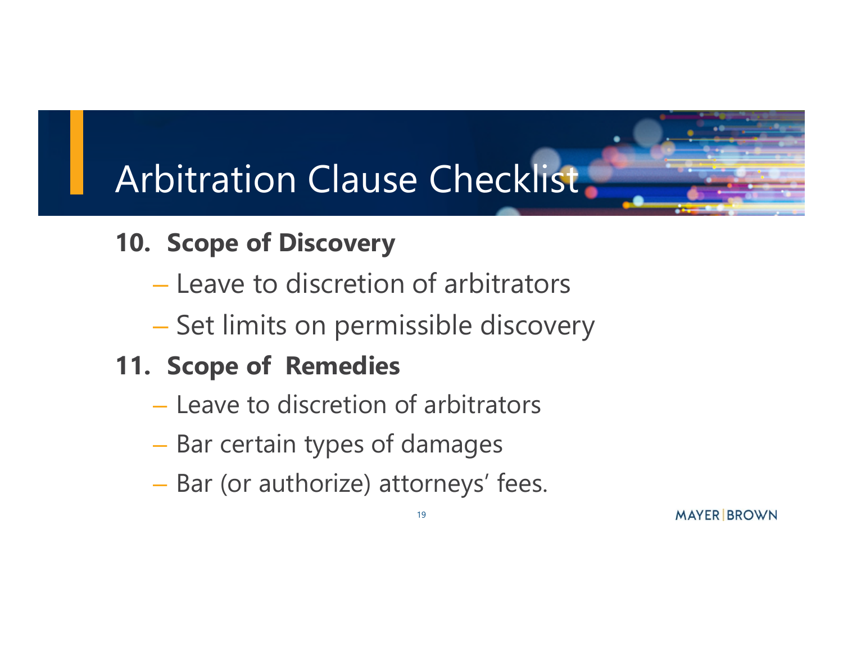## Arbitration Clause Checklist

- **10. Scope of Discovery**
	- Leave to discretion of arbitrators
	- Set limits on permissible discovery

### **11. Scope of Remedies**

- Leave to discretion of arbitrators
- Bar certain types of damages
- Bar (or authorize) attorneys' fees.

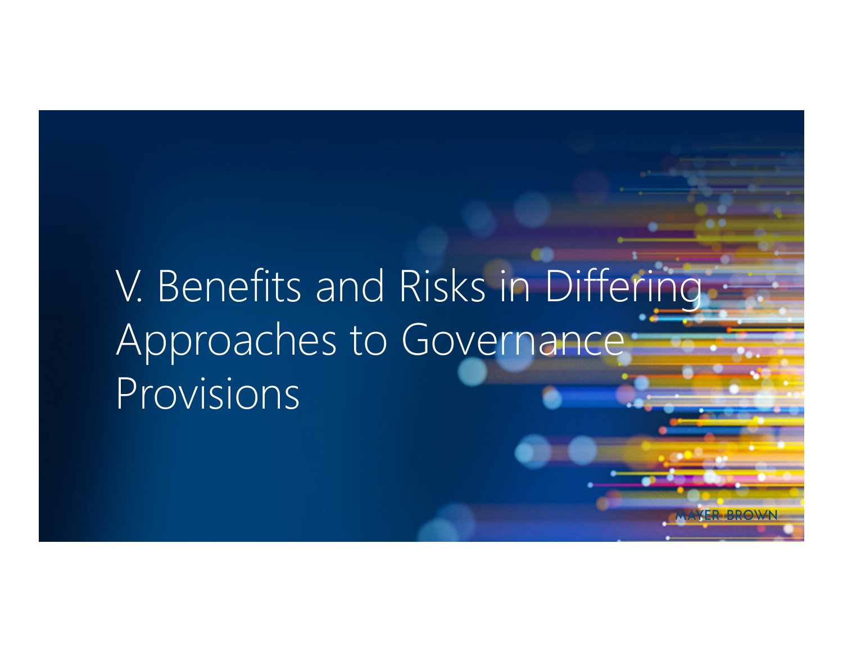# V. Benefits and Risks in Differing Approaches to Governance Provisions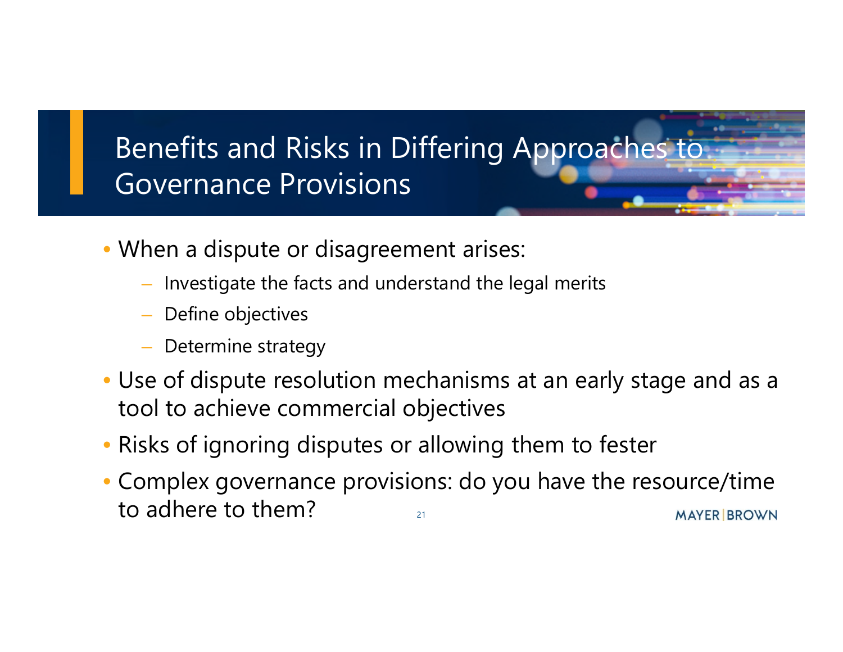

- When a dispute or disagreement arises:
	- Investigate the facts and understand the legal merits
	- Define objectives
	- Determine strategy
- Use of dispute resolution mechanisms at an early stage and as a tool to achieve commercial objectives
- Risks of ignoring disputes or allowing them to fester
- Complex governance provisions: do you have the resource/time to adhere to them?**MAYER BROWN** 21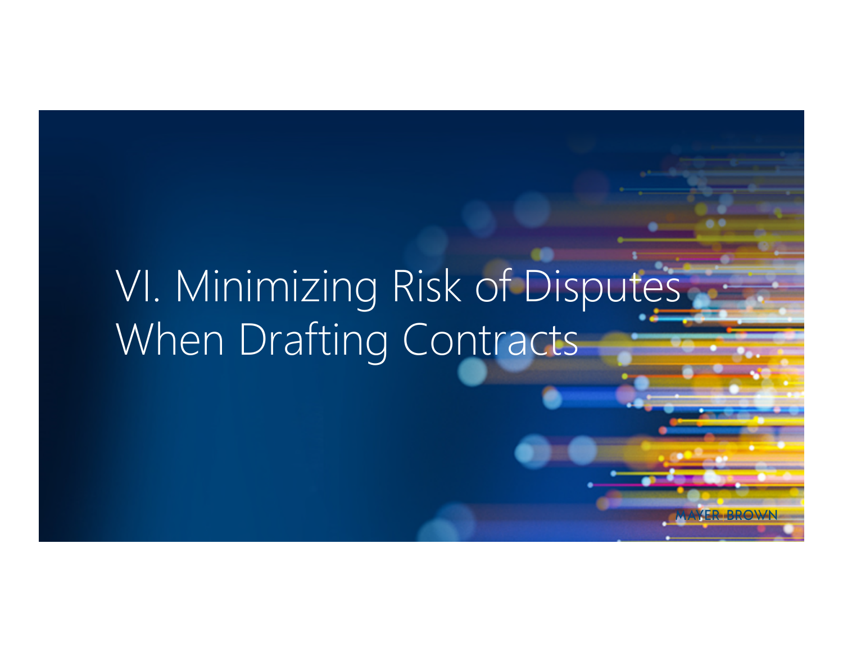# VI. Minimizing Risk of Disputes When Drafting Contracts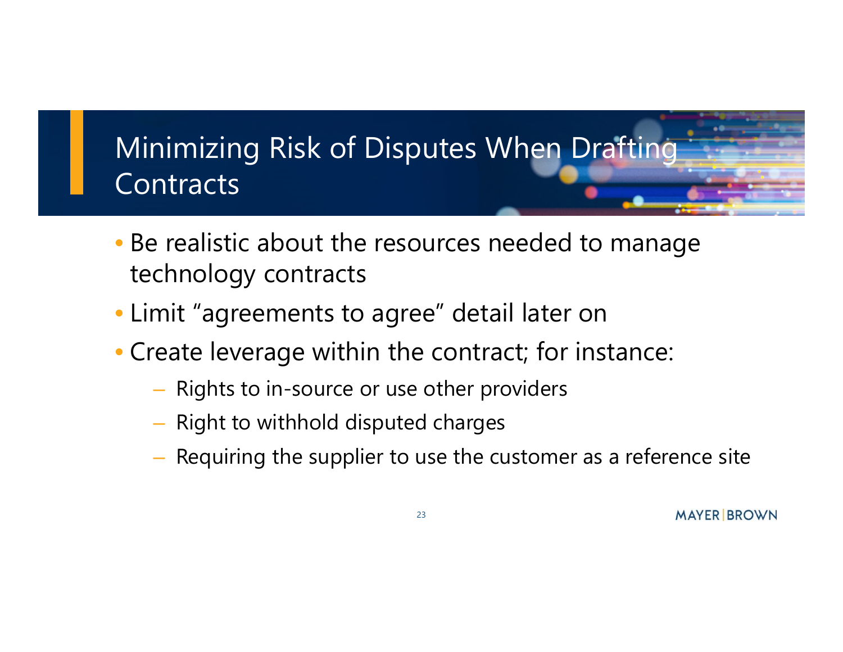

- Be realistic about the resources needed to manage technology contracts
- Limit "agreements to agree" detail later on
- Create leverage within the contract; for instance:
	- Rights to in-source or use other providers
	- Right to withhold disputed charges
	- Requiring the supplier to use the customer as a reference site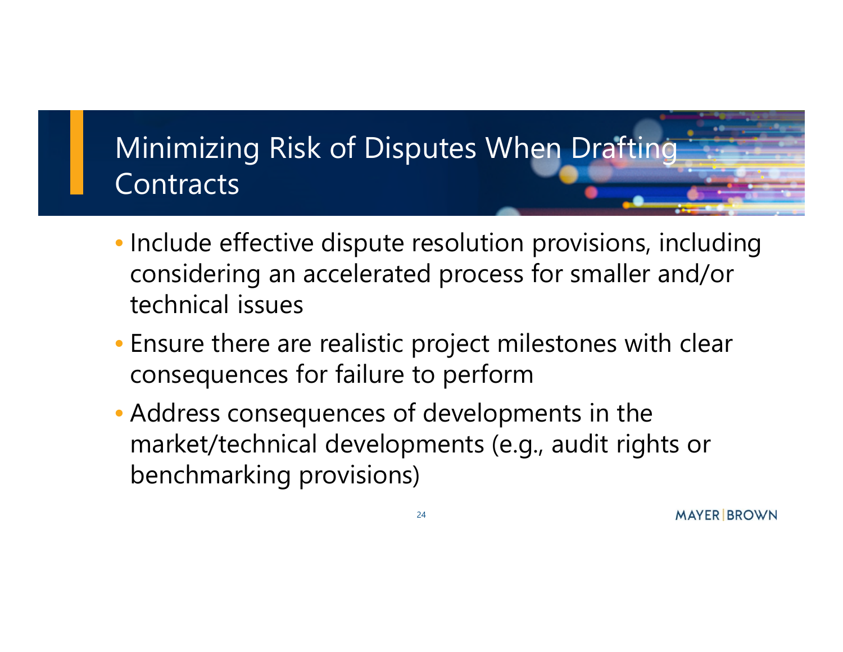### Minimizing Risk of Disputes When Drafting **Contracts**

- Include effective dispute resolution provisions, including considering an accelerated process for smaller and/or technical issues
- Ensure there are realistic project milestones with clear consequences for failure to perform
- Address consequences of developments in the market/technical developments (e.g., audit rights or benchmarking provisions)